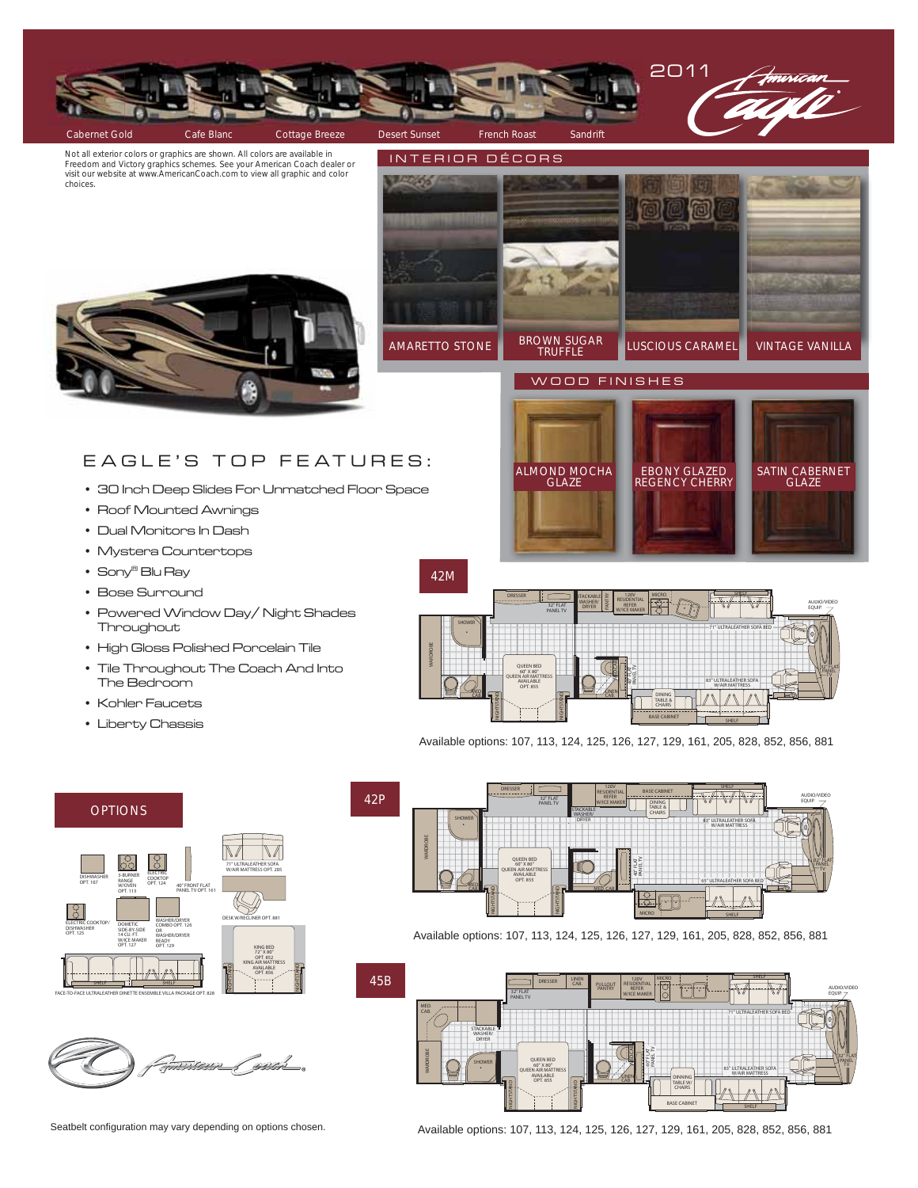

Not all exterior colors or graphics are shown. All colors are available in Freedom and Victory graphics schemes. See your American Coach dealer or visit our website at www.AmericanCoach.com to view all graphic and color choices.



ALMOND MOCHA **GLAZE** 

## EAGLE'S TOP FEATURES:

- 30 Inch Deep Slides For Unmatched Floor Space
- Roof Mounted Awnings
- Dual Monitors In Dash
- Mystera Countertops
- Sony® Blu Ray
- Bose Surround
- Powered Window Day/ Night Shades **Throughout**
- High Gloss Polished Porcelain Tile
- Tile Throughout The Coach And Into The Bedroom
- Kohler Faucets
- Liberty Chassis



EBONY GLAZED REGENCY CHERRY SATIN CABERNET GLAZE

Available options: 107, 113, 124, 125, 126, 127, 129, 161, 205, 828, 852, 856, 881





42P



Available options: 107, 113, 124, 125, 126, 127, 129, 161, 205, 828, 852, 856, 881



Seatbelt configuration may vary depending on options chosen.

Available options: 107, 113, 124, 125, 126, 127, 129, 161, 205, 828, 852, 856, 881